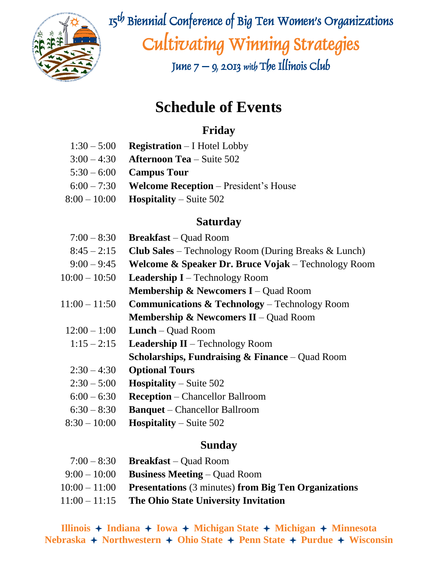

 $\mathbb{R}^{\mathbb{Z}}$  is  $\mathbb{Z}^{\mathbb{Z}}$  is Biennial Conference of Big Ten Women's Organizations Cultivating Winning Strategies

June  $7 - 9$ , 2013 with The Illinois Club

# **Schedule of Events**

## **Friday**

- 1:30 5:00 **Registration** I Hotel Lobby
- 3:00 4:30 **Afternoon Tea** Suite 502
- 5:30 6:00 **Campus Tour**
- 6:00 7:30 **Welcome Reception**  President's House
- 8:00 10:00 **Hospitality** Suite 502

## **Saturday**

| $7:00 - 8:30$   | <b>Breakfast</b> – Quad Room                                   |
|-----------------|----------------------------------------------------------------|
| $8:45 - 2:15$   | <b>Club Sales</b> – Technology Room (During Breaks $\&$ Lunch) |
| $9:00 - 9:45$   | <b>Welcome &amp; Speaker Dr. Bruce Vojak</b> – Technology Room |
| $10:00 - 10:50$ | <b>Leadership I</b> – Technology Room                          |
|                 | <b>Membership &amp; Newcomers I</b> – Quad Room                |
| $11:00 - 11:50$ | <b>Communications &amp; Technology</b> – Technology Room       |
|                 | <b>Membership &amp; Newcomers II</b> – Quad Room               |
| $12:00 - 1:00$  | <b>Lunch</b> – Quad Room                                       |
| $1:15 - 2:15$   | <b>Leadership II</b> – Technology Room                         |
|                 | <b>Scholarships, Fundraising &amp; Finance</b> – Quad Room     |
| $2:30 - 4:30$   | <b>Optional Tours</b>                                          |
| $2:30 - 5:00$   | <b>Hospitality</b> – Suite $502$                               |
| $6:00 - 6:30$   | <b>Reception</b> – Chancellor Ballroom                         |
| $6:30 - 8:30$   | <b>Banquet</b> – Chancellor Ballroom                           |
|                 |                                                                |

8:30 – 10:00 **Hospitality** – Suite 502

### **Sunday**

| $7:00-8:30$ Breakfast – Quad Room                                    |
|----------------------------------------------------------------------|
| $9:00-10:00$ Business Meeting – Quad Room                            |
| $10:00 - 11:00$ Presentations (3 minutes) from Big Ten Organizations |
| $11:00 - 11:15$ The Ohio State University Invitation                 |